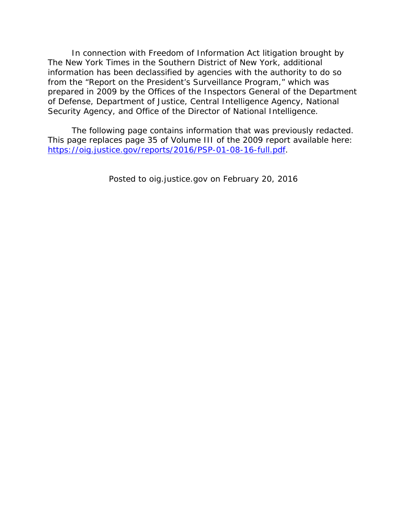In connection with Freedom of Information Act litigation brought by *The New York Times* in the Southern District of New York, additional information has been declassified by agencies with the authority to do so from the "Report on the President's Surveillance Program," which was prepared in 2009 by the Offices of the Inspectors General of the Department of Defense, Department of Justice, Central Intelligence Agency, National Security Agency, and Office of the Director of National Intelligence.

The following page contains information that was previously redacted. This page replaces page 35 of Volume III of the 2009 report available here: https://oig.justice.gov/reports/2016/PSP-01-08-16-full.pdf.

*Posted to oig.justice.gov on February 20, 2016*